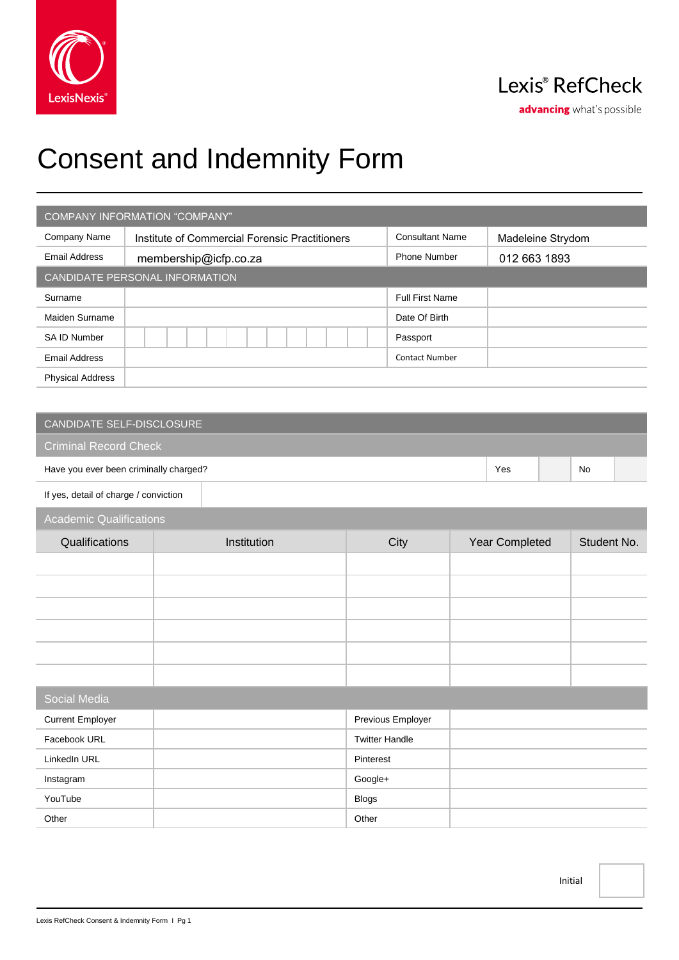

# Consent and Indemnity Form

| <b>COMPANY INFORMATION "COMPANY"</b> |                                                |                        |                   |  |  |
|--------------------------------------|------------------------------------------------|------------------------|-------------------|--|--|
| Company Name                         | Institute of Commercial Forensic Practitioners | <b>Consultant Name</b> | Madeleine Strydom |  |  |
| <b>Email Address</b>                 | membership@icfp.co.za                          | <b>Phone Number</b>    | 012 663 1893      |  |  |
| CANDIDATE PERSONAL INFORMATION       |                                                |                        |                   |  |  |
| Surname                              |                                                | <b>Full First Name</b> |                   |  |  |
| Maiden Surname                       |                                                | Date Of Birth          |                   |  |  |
| <b>SA ID Number</b>                  |                                                | Passport               |                   |  |  |
| <b>Email Address</b>                 |                                                | <b>Contact Number</b>  |                   |  |  |
| <b>Physical Address</b>              |                                                |                        |                   |  |  |

## Criminal Record Check Have you ever been criminally charged? No was not all the state of the state of the SNo No No No No No No No No If yes, detail of charge / conviction

### Academic Qualifications

| <i>I</i> todaoirmo gaamiodhomo |             |      |                |             |  |  |
|--------------------------------|-------------|------|----------------|-------------|--|--|
| Qualifications                 | Institution | City | Year Completed | Student No. |  |  |
|                                |             |      |                |             |  |  |
|                                |             |      |                |             |  |  |
|                                |             |      |                |             |  |  |
|                                |             |      |                |             |  |  |
|                                |             |      |                |             |  |  |
|                                |             |      |                |             |  |  |

| <b>Social Media</b>     |                       |  |  |
|-------------------------|-----------------------|--|--|
| <b>Current Employer</b> | Previous Employer     |  |  |
| Facebook URL            | <b>Twitter Handle</b> |  |  |
| LinkedIn URL            | Pinterest             |  |  |
| Instagram               | Google+               |  |  |
| YouTube                 | <b>Blogs</b>          |  |  |
| Other                   | Other                 |  |  |

Initial